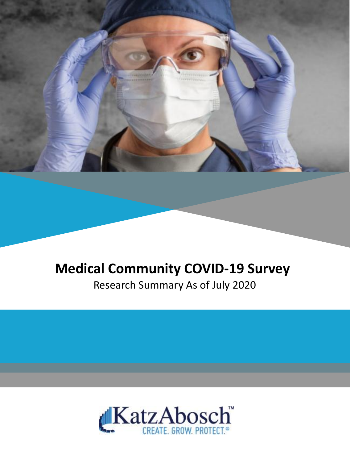

### **Medical Community COVID-19 Survey**

Research Summary As of July 2020

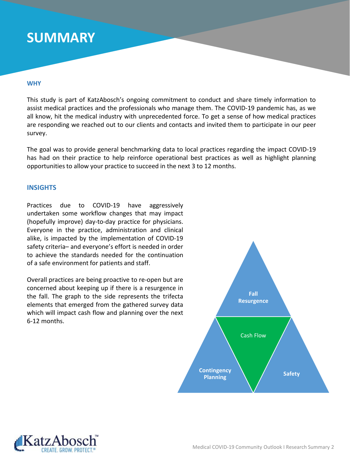### **SUMMARY**

#### **WHY**

This study is part of KatzAbosch's ongoing commitment to conduct and share timely information to assist medical practices and the professionals who manage them. The COVID-19 pandemic has, as we all know, hit the medical industry with unprecedented force. To get a sense of how medical practices are responding we reached out to our clients and contacts and invited them to participate in our peer survey.

The goal was to provide general benchmarking data to local practices regarding the impact COVID-19 has had on their practice to help reinforce operational best practices as well as highlight planning opportunitiesto allow your practice to succeed in the next 3 to 12 months.

#### **INSIGHTS**

Practices due to COVID-19 have aggressively undertaken some workflow changes that may impact (hopefully improve) day-to-day practice for physicians. Everyone in the practice, administration and clinical alike, is impacted by the implementation of COVID-19 safety criteria– and everyone's effort is needed in order to achieve the standards needed for the continuation of a safe environment for patients and staff.

Overall practices are being proactive to re-open but are concerned about keeping up if there is a resurgence in the fall. The graph to the side represents the trifecta elements that emerged from the gathered survey data which will impact cash flow and planning over the next 6-12 months.



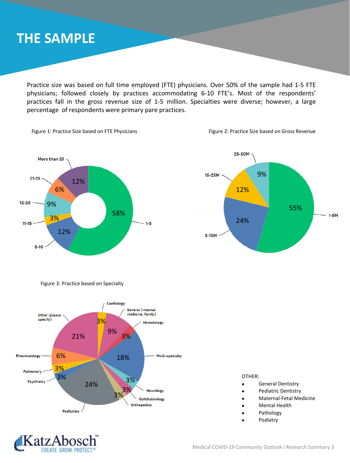### **THE SAMPLE**

Practice size was based on full time employed (FTE) physicians. Over 50% of the sample had 1-5 FTE physicians; followed closely by practices accommodating 6-10 FTE's. Most of the respondents' practices fall in the gross revenue size of 1-5 million. Specialties were diverse; however, a large percentage of respondents were primary pare practices.









Figure 3: Practice based on Specialty



OTHER:

- General Dentistry
- Pediatric Dentistry
- Maternal-Fetal Medicine
- Mental Health
- **Pathology**
- **Podiatry**

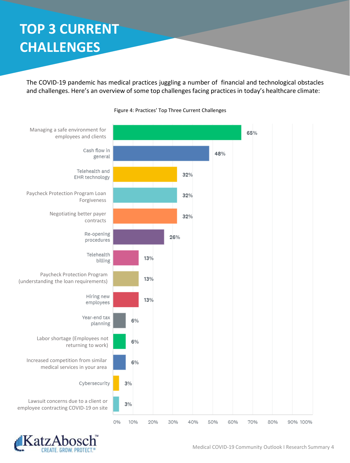## **TOP 3 CURRENT CHALLENGES**

The COVID-19 pandemic has medical practices juggling a number of financial and technological obstacles and challenges. Here's an overview of some top challenges facing practices in today's healthcare climate:



Figure 4: Practices' Top Three Current Challenges

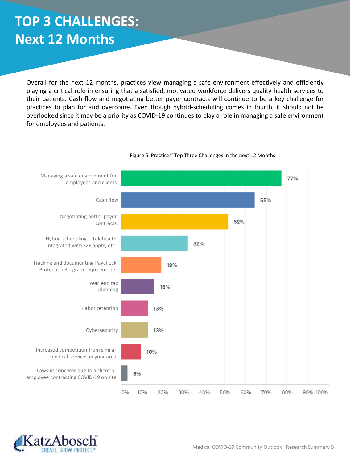# **TOP 3 CHALLENGES: Next 12 Months**

Overall for the next 12 months, practices view managing a safe environment effectively and efficiently playing a critical role in ensuring that a satisfied, motivated workforce delivers quality health services to their patients. Cash flow and negotiating better payer contracts will continue to be a key challenge for practices to plan for and overcome. Even though hybrid-scheduling comes in fourth, it should not be overlooked since it may be a priority as COVID-19 continues to play a role in managing a safe environment for employees and patients.



#### Figure 5: Practices' Top Three Challenges in the next 12 Months

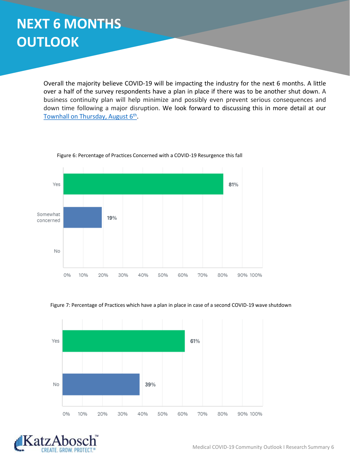Overall the majority believe COVID-19 will be impacting the industry for the next 6 months. A little over a half of the survey respondents have a plan in place if there was to be another shut down. A business continuity plan will help minimize and possibly even prevent serious consequences and down time following a major disruption. We look forward to discussing this in more detail at our Townhall on [Thursday,](https://katzabosch.zoom.us/meeting/register/tJwkduygrTwtHta54VrLD_kQu9Do9CrcxPhd) August 6<sup>th</sup>.



Figure 6: Percentage of Practices Concerned with a COVID-19 Resurgence this fall





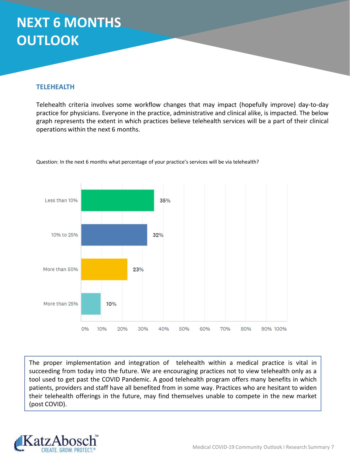#### **TELEHEALTH**

Telehealth criteria involves some workflow changes that may impact (hopefully improve) day-to-day practice for physicians. Everyone in the practice, administrative and clinical alike, is impacted. The below graph represents the extent in which practices believe telehealth services will be a part of their clinical operations within the next 6 months.



Question: In the next 6 months what percentage of your practice's services will be via telehealth?

The proper implementation and integration of telehealth within a medical practice is vital in succeeding from today into the future. We are encouraging practices not to view telehealth only as a tool used to get past the COVID Pandemic. A good telehealth program offers many benefits in which patients, providers and staff have all benefited from in some way. Practices who are hesitant to widen their telehealth offerings in the future, may find themselves unable to compete in the new market (post COVID).

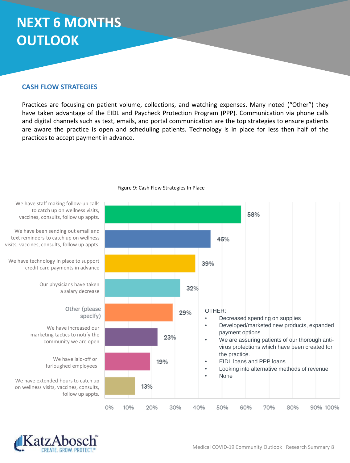#### **CASH FLOW STRATEGIES**

Practices are focusing on patient volume, collections, and watching expenses. Many noted ("Other") they have taken advantage of the EIDL and Paycheck Protection Program (PPP). Communication via phone calls and digital channels such as text, emails, and portal communication are the top strategies to ensure patients are aware the practice is open and scheduling patients. Technology is in place for less then half of the practices to accept payment in advance.



Figure 9: Cash Flow Strategies In Place

to catch up on wellness visits, vaccines, consults, follow up appts.

We have been sending out email and text reminders to catch up on wellness visits, vaccines, consults, follow up appts.

We have technology in place to support credit card payments in advance

> Our physicians have taken a salary decrease

> > Other (please

We have increased our marketing tactics to notify the community we are open

> We have laid-off or furloughed employees

We have extended hours to catch up on wellness visits, vaccines, consults, follow up appts.

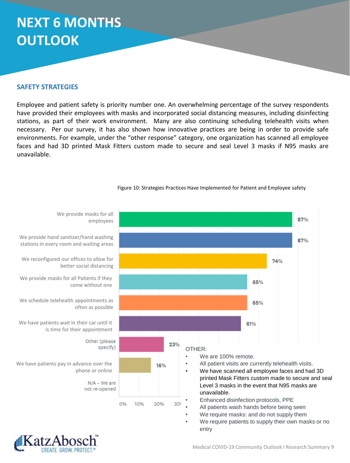#### **SAFETY STRATEGIES**

Employee and patient safety is priority number one. An overwhelming percentage of the survey respondents have provided their employees with masks and incorporated social distancing measures, including disinfecting stations, as part of their work environment. Many are also continuing scheduling telehealth visits when necessary. Per our survey, it has also shown how innovative practices are being in order to provide safe environments. For example, under the "other response" category, one organization has scanned all employee faces and had 3D printed Mask Fitters custom made to secure and seal Level 3 masks if N95 masks are unavailable.



Figure 10: Strategies Practices Have Implemented for Patient and Employee safety

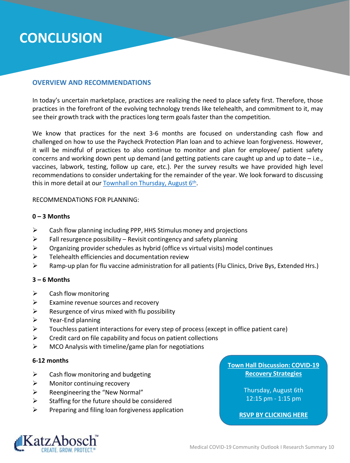### **CONCLUSION**

#### **OVERVIEW AND RECOMMENDATIONS**

In today's uncertain marketplace, practices are realizing the need to place safety first. Therefore, those practices in the forefront of the evolving technology trends like telehealth, and commitment to it, may see their growth track with the practices long term goals faster than the competition.

We know that practices for the next 3-6 months are focused on understanding cash flow and challenged on how to use the Paycheck Protection Plan loan and to achieve loan forgiveness. However, it will be mindful of practices to also continue to monitor and plan for employee/ patient safety concerns and working down pent up demand (and getting patients care caught up and up to date – i.e., vaccines, labwork, testing, follow up care, etc.). Per the survey results we have provided high level recommendations to consider undertaking for the remainder of the year. We look forward to discussing this in more detail at our **Townhall on [Thursday,](https://katzabosch.zoom.us/meeting/register/tJwkduygrTwtHta54VrLD_kQu9Do9CrcxPhd) August 6th**.

#### RECOMMENDATIONS FOR PLANNING:

#### **0 – 3 Months**

- $\triangleright$  Cash flow planning including PPP, HHS Stimulus money and projections
- $\triangleright$  Fall resurgence possibility Revisit contingency and safety planning
- $\triangleright$  Organizing provider schedules as hybrid (office vs virtual visits) model continues
- $\triangleright$  Telehealth efficiencies and documentation review
- $\triangleright$  Ramp-up plan for flu vaccine administration for all patients (Flu Clinics, Drive Bys, Extended Hrs.)

#### **3 – 6 Months**

- $\triangleright$  Cash flow monitoring
- $\triangleright$  Examine revenue sources and recovery
- $\triangleright$  Resurgence of virus mixed with flu possibility
- ➢ Year-End planning
- ➢ Touchless patient interactions for every step of process (except in office patient care)
- $\triangleright$  Credit card on file capability and focus on patient collections
- $\triangleright$  MCO Analysis with timeline/game plan for negotiations

#### **6-12 months**

- $\triangleright$  Cash flow monitoring and budgeting
- $\triangleright$  Monitor continuing recovery
- $\triangleright$  Reengineering the "New Normal"
- $\triangleright$  Staffing for the future should be considered
- $\triangleright$  Preparing and filing loan forgiveness application

**Town Hall Discussion: COVID-19 Recovery Strategies**

> Thursday, August 6th 12:15 pm - 1:15 pm

**[RSVP BY CLICKING HERE](https://katzabosch.zoom.us/meeting/register/tJwkduygrTwtHta54VrLD_kQu9Do9CrcxPhd)**